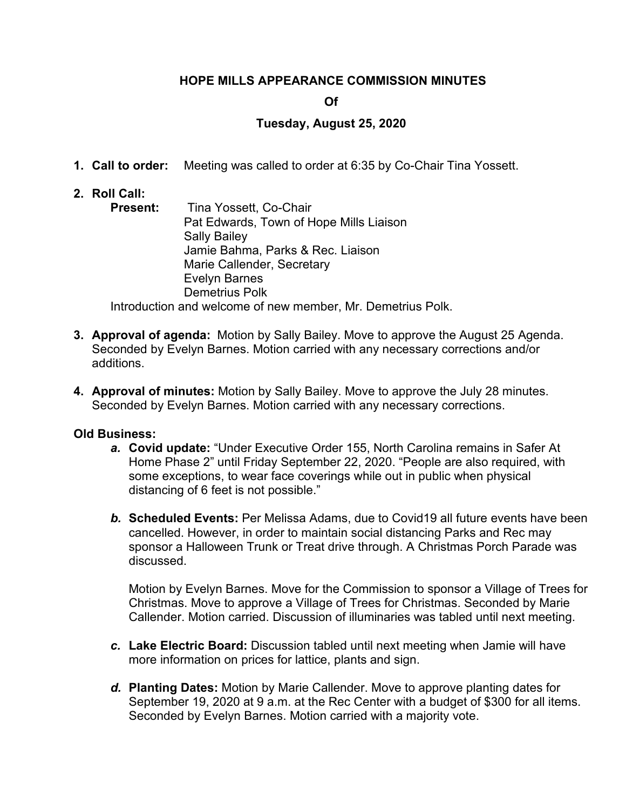# **HOPE MILLS APPEARANCE COMMISSION MINUTES**

# **Of**

# **Tuesday, August 25, 2020**

- **1. Call to order:** Meeting was called to order at 6:35 by Co-Chair Tina Yossett.
- **2. Roll Call:**
	- **Present:** Tina Yossett, Co-Chair Pat Edwards, Town of Hope Mills Liaison Sally Bailey Jamie Bahma, Parks & Rec. Liaison Marie Callender, Secretary Evelyn Barnes Demetrius Polk Introduction and welcome of new member, Mr. Demetrius Polk.

**3. Approval of agenda:** Motion by Sally Bailey. Move to approve the August 25 Agenda.

- Seconded by Evelyn Barnes. Motion carried with any necessary corrections and/or additions.
- **4. Approval of minutes:** Motion by Sally Bailey. Move to approve the July 28 minutes. Seconded by Evelyn Barnes. Motion carried with any necessary corrections.

# **Old Business:**

- *a.* **Covid update:** "Under Executive Order 155, North Carolina remains in Safer At Home Phase 2" until Friday September 22, 2020. "People are also required, with some exceptions, to wear face coverings while out in public when physical distancing of 6 feet is not possible."
- *b.* **Scheduled Events:** Per Melissa Adams, due to Covid19 all future events have been cancelled. However, in order to maintain social distancing Parks and Rec may sponsor a Halloween Trunk or Treat drive through. A Christmas Porch Parade was discussed.

Motion by Evelyn Barnes. Move for the Commission to sponsor a Village of Trees for Christmas. Move to approve a Village of Trees for Christmas. Seconded by Marie Callender. Motion carried. Discussion of illuminaries was tabled until next meeting.

- *c.* **Lake Electric Board:** Discussion tabled until next meeting when Jamie will have more information on prices for lattice, plants and sign.
- *d.* **Planting Dates:** Motion by Marie Callender. Move to approve planting dates for September 19, 2020 at 9 a.m. at the Rec Center with a budget of \$300 for all items. Seconded by Evelyn Barnes. Motion carried with a majority vote.